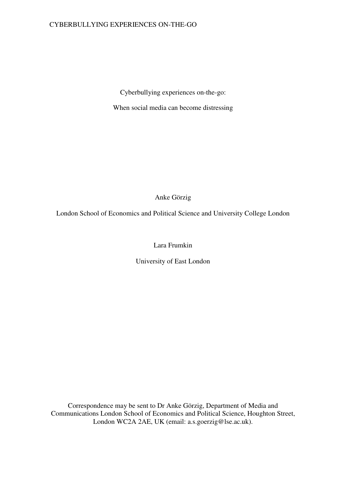Cyberbullying experiences on-the-go:

When social media can become distressing

Anke Görzig

London School of Economics and Political Science and University College London

Lara Frumkin

University of East London

Correspondence may be sent to Dr Anke Görzig, Department of Media and Communications London School of Economics and Political Science, Houghton Street, London WC2A 2AE, UK (email: a.s.goerzig@lse.ac.uk).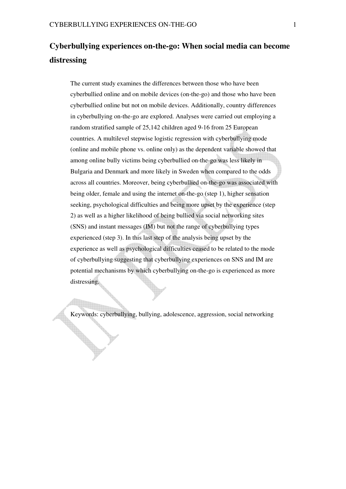# **Cyberbullying experiences on-the-go: When social media can become distressing**

The current study examines the differences between those who have been cyberbullied online and on mobile devices (on-the-go) and those who have been cyberbullied online but not on mobile devices. Additionally, country differences in cyberbullying on-the-go are explored. Analyses were carried out employing a random stratified sample of 25,142 children aged 9-16 from 25 European countries. A multilevel stepwise logistic regression with cyberbullying mode (online and mobile phone vs. online only) as the dependent variable showed that among online bully victims being cyberbullied on-the-go was less likely in Bulgaria and Denmark and more likely in Sweden when compared to the odds across all countries. Moreover, being cyberbullied on-the-go was associated with being older, female and using the internet on-the-go (step 1), higher sensation seeking, psychological difficulties and being more upset by the experience (step 2) as well as a higher likelihood of being bullied via social networking sites (SNS) and instant messages (IM) but not the range of cyberbullying types experienced (step 3). In this last step of the analysis being upset by the experience as well as psychological difficulties ceased to be related to the mode of cyberbullying suggesting that cyberbullying experiences on SNS and IM are potential mechanisms by which cyberbullying on-the-go is experienced as more distressing.

Keywords: cyberbullying, bullying, adolescence, aggression, social networking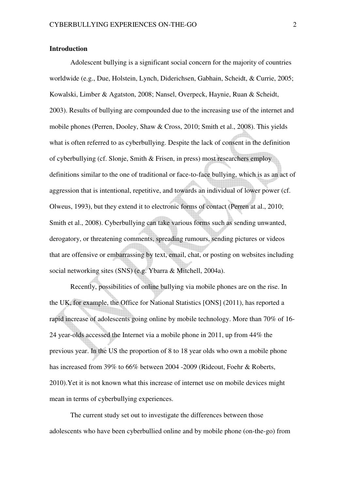## **Introduction**

Adolescent bullying is a significant social concern for the majority of countries worldwide (e.g., Due, Holstein, Lynch, Diderichsen, Gabhain, Scheidt, & Currie, 2005; Kowalski, Limber & Agatston, 2008; Nansel, Overpeck, Haynie, Ruan & Scheidt, 2003). Results of bullying are compounded due to the increasing use of the internet and mobile phones (Perren, Dooley, Shaw & Cross, 2010; Smith et al., 2008). This yields what is often referred to as cyberbullying. Despite the lack of consent in the definition of cyberbullying (cf. Slonje, Smith & Frisen, in press) most researchers employ definitions similar to the one of traditional or face-to-face bullying, which is as an act of aggression that is intentional, repetitive, and towards an individual of lower power (cf. Olweus, 1993), but they extend it to electronic forms of contact (Perren at al., 2010; Smith et al., 2008). Cyberbullying can take various forms such as sending unwanted, derogatory, or threatening comments, spreading rumours, sending pictures or videos that are offensive or embarrassing by text, email, chat, or posting on websites including social networking sites (SNS) (e.g. Ybarra & Mitchell, 2004a).

Recently, possibilities of online bullying via mobile phones are on the rise. In the UK, for example, the Office for National Statistics [ONS] (2011), has reported a rapid increase of adolescents going online by mobile technology. More than 70% of 16- 24 year-olds accessed the Internet via a mobile phone in 2011, up from 44% the previous year. In the US the proportion of 8 to 18 year olds who own a mobile phone has increased from 39% to 66% between 2004 -2009 (Rideout, Foehr & Roberts, 2010).Yet it is not known what this increase of internet use on mobile devices might mean in terms of cyberbullying experiences.

The current study set out to investigate the differences between those adolescents who have been cyberbullied online and by mobile phone (on-the-go) from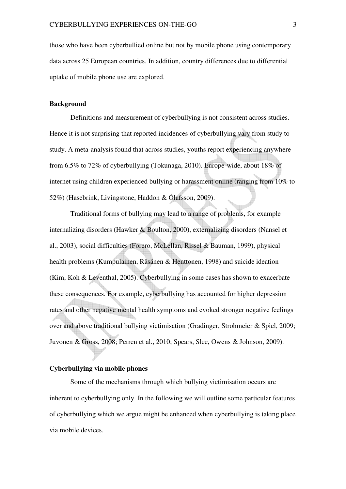those who have been cyberbullied online but not by mobile phone using contemporary data across 25 European countries. In addition, country differences due to differential uptake of mobile phone use are explored.

#### **Background**

Definitions and measurement of cyberbullying is not consistent across studies. Hence it is not surprising that reported incidences of cyberbullying vary from study to study. A meta-analysis found that across studies, youths report experiencing anywhere from 6.5% to 72% of cyberbullying (Tokunaga, 2010). Europe-wide, about 18% of internet using children experienced bullying or harassment online (ranging from 10% to 52%) (Hasebrink, Livingstone, Haddon & Ólafsson, 2009).

Traditional forms of bullying may lead to a range of problems, for example internalizing disorders (Hawker & Boulton, 2000), externalizing disorders (Nansel et al., 2003), social difficulties (Forero, McLellan, Rissel & Bauman, 1999), physical health problems (Kumpulainen, Räsänen & Henttonen, 1998) and suicide ideation (Kim, Koh & Leventhal, 2005). Cyberbullying in some cases has shown to exacerbate these consequences. For example, cyberbullying has accounted for higher depression rates and other negative mental health symptoms and evoked stronger negative feelings over and above traditional bullying victimisation (Gradinger, Strohmeier & Spiel, 2009; Juvonen & Gross, 2008; Perren et al., 2010; Spears, Slee, Owens & Johnson, 2009).

## **Cyberbullying via mobile phones**

Some of the mechanisms through which bullying victimisation occurs are inherent to cyberbullying only. In the following we will outline some particular features of cyberbullying which we argue might be enhanced when cyberbullying is taking place via mobile devices.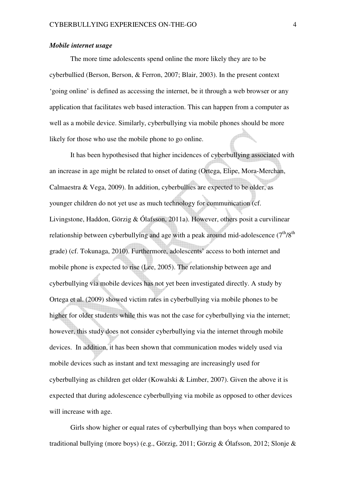#### *Mobile internet usage*

The more time adolescents spend online the more likely they are to be cyberbullied (Berson, Berson, & Ferron, 2007; Blair, 2003). In the present context 'going online' is defined as accessing the internet, be it through a web browser or any application that facilitates web based interaction. This can happen from a computer as well as a mobile device. Similarly, cyberbullying via mobile phones should be more likely for those who use the mobile phone to go online.

It has been hypothesised that higher incidences of cyberbullying associated with an increase in age might be related to onset of dating (Ortega, Elipe, Mora-Merchan, Calmaestra & Vega, 2009). In addition, cyberbullies are expected to be older, as younger children do not yet use as much technology for communication (cf. Livingstone, Haddon, Görzig & Ólafsson, 2011a). However, others posit a curvilinear relationship between cyberbullying and age with a peak around mid-adolescence  $(7<sup>th</sup>/8<sup>th</sup>)$ grade) (cf. Tokunaga, 2010). Furthermore, adolescents' access to both internet and mobile phone is expected to rise (Lee, 2005). The relationship between age and cyberbullying via mobile devices has not yet been investigated directly. A study by Ortega et al. (2009) showed victim rates in cyberbullying via mobile phones to be higher for older students while this was not the case for cyberbullying via the internet; however, this study does not consider cyberbullying via the internet through mobile devices. In addition, it has been shown that communication modes widely used via mobile devices such as instant and text messaging are increasingly used for cyberbullying as children get older (Kowalski & Limber, 2007). Given the above it is expected that during adolescence cyberbullying via mobile as opposed to other devices will increase with age.

Girls show higher or equal rates of cyberbullying than boys when compared to traditional bullying (more boys) (e.g., Görzig, 2011; Görzig & Ólafsson, 2012; Slonje &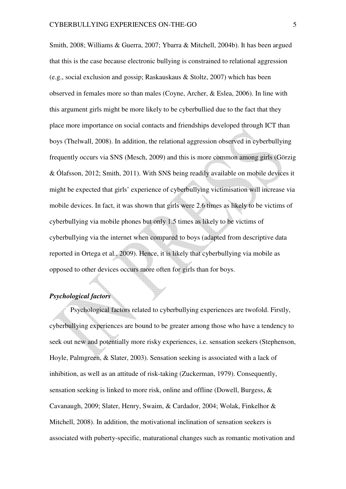Smith, 2008; Williams & Guerra, 2007; Ybarra & Mitchell, 2004b). It has been argued that this is the case because electronic bullying is constrained to relational aggression (e.g., social exclusion and gossip; Raskauskaus & Stoltz, 2007) which has been observed in females more so than males (Coyne, Archer, & Eslea, 2006). In line with this argument girls might be more likely to be cyberbullied due to the fact that they place more importance on social contacts and friendships developed through ICT than boys (Thelwall, 2008). In addition, the relational aggression observed in cyberbullying frequently occurs via SNS (Mesch, 2009) and this is more common among girls (Görzig & Ólafsson, 2012; Smith, 2011). With SNS being readily available on mobile devices it might be expected that girls' experience of cyberbullying victimisation will increase via mobile devices. In fact, it was shown that girls were 2.6 times as likely to be victims of cyberbullying via mobile phones but only 1.5 times as likely to be victims of cyberbullying via the internet when compared to boys (adapted from descriptive data reported in Ortega et al., 2009). Hence, it is likely that cyberbullying via mobile as opposed to other devices occurs more often for girls than for boys.

## *Psychological factors*

Psychological factors related to cyberbullying experiences are twofold. Firstly, cyberbullying experiences are bound to be greater among those who have a tendency to seek out new and potentially more risky experiences, i.e. sensation seekers (Stephenson, Hoyle, Palmgreen, & Slater, 2003). Sensation seeking is associated with a lack of inhibition, as well as an attitude of risk-taking (Zuckerman, 1979). Consequently, sensation seeking is linked to more risk, online and offline (Dowell, Burgess, & Cavanaugh, 2009; Slater, Henry, Swaim, & Cardador, 2004; Wolak, Finkelhor & Mitchell, 2008). In addition, the motivational inclination of sensation seekers is associated with puberty-specific, maturational changes such as romantic motivation and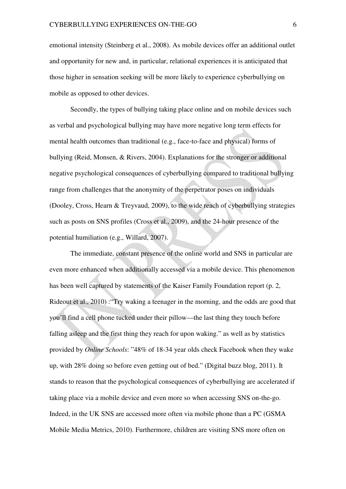emotional intensity (Steinberg et al., 2008). As mobile devices offer an additional outlet and opportunity for new and, in particular, relational experiences it is anticipated that those higher in sensation seeking will be more likely to experience cyberbullying on mobile as opposed to other devices.

Secondly, the types of bullying taking place online and on mobile devices such as verbal and psychological bullying may have more negative long term effects for mental health outcomes than traditional (e.g., face-to-face and physical) forms of bullying (Reid, Monsen, & Rivers, 2004). Explanations for the stronger or additional negative psychological consequences of cyberbullying compared to traditional bullying range from challenges that the anonymity of the perpetrator poses on individuals (Dooley, Cross, Hearn & Treyvaud, 2009), to the wide reach of cyberbullying strategies such as posts on SNS profiles (Cross et al., 2009), and the 24-hour presence of the potential humiliation (e.g., Willard, 2007).

The immediate, constant presence of the online world and SNS in particular are even more enhanced when additionally accessed via a mobile device. This phenomenon has been well captured by statements of the Kaiser Family Foundation report (p. 2, Rideout et al., 2010) :"Try waking a teenager in the morning, and the odds are good that you'll find a cell phone tucked under their pillow—the last thing they touch before falling asleep and the first thing they reach for upon waking." as well as by statistics provided by *Online Schools*: "48% of 18-34 year olds check Facebook when they wake up, with 28% doing so before even getting out of bed." (Digital buzz blog, 2011). It stands to reason that the psychological consequences of cyberbullying are accelerated if taking place via a mobile device and even more so when accessing SNS on-the-go. Indeed, in the UK SNS are accessed more often via mobile phone than a PC (GSMA Mobile Media Metrics, 2010). Furthermore, children are visiting SNS more often on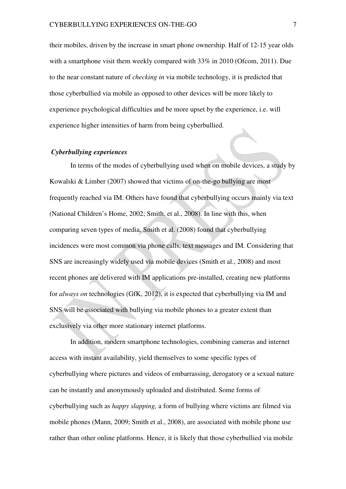their mobiles, driven by the increase in smart phone ownership. Half of 12-15 year olds with a smartphone visit them weekly compared with 33% in 2010 (Ofcom, 2011). Due to the near constant nature of *checking in* via mobile technology, it is predicted that those cyberbullied via mobile as opposed to other devices will be more likely to experience psychological difficulties and be more upset by the experience, i.e. will experience higher intensities of harm from being cyberbullied.

## *Cyberbullying experiences*

In terms of the modes of cyberbullying used when on mobile devices, a study by Kowalski & Limber (2007) showed that victims of on-the-go bullying are most frequently reached via IM. Others have found that cyberbullying occurs mainly via text (National Children's Home, 2002; Smith, et al., 2008). In line with this, when comparing seven types of media, Smith et al. (2008) found that cyberbullying incidences were most common via phone calls, text messages and IM. Considering that SNS are increasingly widely used via mobile devices (Smith et al., 2008) and most recent phones are delivered with IM applications pre-installed, creating new platforms for *always on* technologies (GfK, 2012), it is expected that cyberbullying via IM and SNS will be associated with bullying via mobile phones to a greater extent than exclusively via other more stationary internet platforms.

In addition, modern smartphone technologies, combining cameras and internet access with instant availability, yield themselves to some specific types of cyberbullying where pictures and videos of embarrassing, derogatory or a sexual nature can be instantly and anonymously uploaded and distributed. Some forms of cyberbullying such as *happy slapping,* a form of bullying where victims are filmed via mobile phones (Mann, 2009; Smith et al., 2008), are associated with mobile phone use rather than other online platforms. Hence, it is likely that those cyberbullied via mobile

di il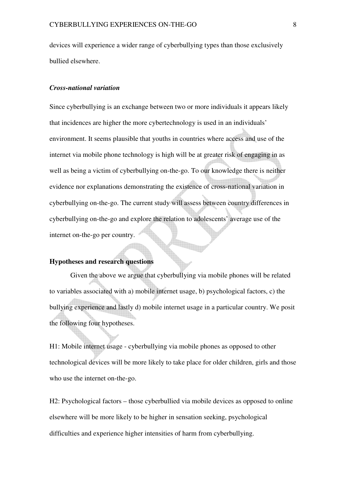devices will experience a wider range of cyberbullying types than those exclusively bullied elsewhere.

#### *Cross-national variation*

Since cyberbullying is an exchange between two or more individuals it appears likely that incidences are higher the more cybertechnology is used in an individuals' environment. It seems plausible that youths in countries where access and use of the internet via mobile phone technology is high will be at greater risk of engaging in as well as being a victim of cyberbullying on-the-go. To our knowledge there is neither evidence nor explanations demonstrating the existence of cross-national variation in cyberbullying on-the-go. The current study will assess between country differences in cyberbullying on-the-go and explore the relation to adolescents' average use of the internet on-the-go per country.

## **Hypotheses and research questions**

Given the above we argue that cyberbullying via mobile phones will be related to variables associated with a) mobile internet usage, b) psychological factors, c) the bullying experience and lastly d) mobile internet usage in a particular country. We posit the following four hypotheses.

H1: Mobile internet usage - cyberbullying via mobile phones as opposed to other technological devices will be more likely to take place for older children, girls and those who use the internet on-the-go.

H2: Psychological factors – those cyberbullied via mobile devices as opposed to online elsewhere will be more likely to be higher in sensation seeking, psychological difficulties and experience higher intensities of harm from cyberbullying.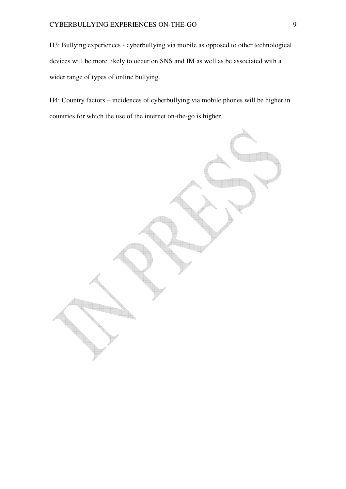H3: Bullying experiences - cyberbullying via mobile as opposed to other technological devices will be more likely to occur on SNS and IM as well as be associated with a wider range of types of online bullying.

H4: Country factors – incidences of cyberbullying via mobile phones will be higher in countries for which the use of the internet on-the-go is higher.

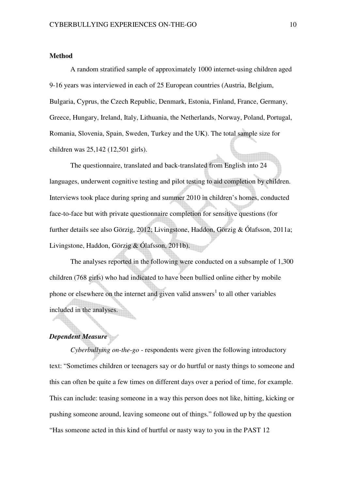## **Method**

A random stratified sample of approximately 1000 internet-using children aged 9-16 years was interviewed in each of 25 European countries (Austria, Belgium, Bulgaria, Cyprus, the Czech Republic, Denmark, Estonia, Finland, France, Germany, Greece, Hungary, Ireland, Italy, Lithuania, the Netherlands, Norway, Poland, Portugal, Romania, Slovenia, Spain, Sweden, Turkey and the UK). The total sample size for children was 25,142 (12,501 girls).

The questionnaire, translated and back-translated from English into 24 languages, underwent cognitive testing and pilot testing to aid completion by children. Interviews took place during spring and summer 2010 in children's homes, conducted face-to-face but with private questionnaire completion for sensitive questions (for further details see also Görzig, 2012; Livingstone, Haddon, Görzig & Ólafsson, 2011a; Livingstone, Haddon, Görzig & Ólafsson, 2011b).

The analyses reported in the following were conducted on a subsample of 1,300 children (768 girls) who had indicated to have been bullied online either by mobile phone or elsewhere on the internet and given valid answers<sup>1</sup> to all other variables included in the analyses.

## *Dependent Measure*

*Cyberbullying on-the-go* - respondents were given the following introductory text: "Sometimes children or teenagers say or do hurtful or nasty things to someone and this can often be quite a few times on different days over a period of time, for example. This can include: teasing someone in a way this person does not like, hitting, kicking or pushing someone around, leaving someone out of things." followed up by the question "Has someone acted in this kind of hurtful or nasty way to you in the PAST 12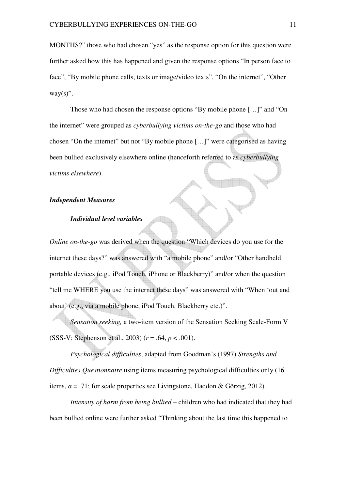MONTHS?" those who had chosen "yes" as the response option for this question were further asked how this has happened and given the response options "In person face to face", "By mobile phone calls, texts or image/video texts", "On the internet", "Other  $way(s)$ ".

Those who had chosen the response options "By mobile phone […]" and "On the internet" were grouped as *cyberbullying victims on-the-go* and those who had chosen "On the internet" but not "By mobile phone […]" were categorised as having been bullied exclusively elsewhere online (henceforth referred to as *cyberbullying victims elsewhere*).

## *Independent Measures*

## *Individual level variables*

*Online on-the-go* was derived when the question "Which devices do you use for the internet these days?" was answered with "a mobile phone" and/or "Other handheld portable devices (e.g., iPod Touch, iPhone or Blackberry)" and/or when the question "tell me WHERE you use the internet these days" was answered with "When 'out and about' (e.g., via a mobile phone, iPod Touch, Blackberry etc.)".

*Sensation seeking,* a two-item version of the Sensation Seeking Scale-Form V (SSS-V; Stephenson et al., 2003) (*r* = .64, *p* < .001).

*Psychological difficulties*, adapted from Goodman's (1997) *Strengths and Difficulties Questionnaire* using items measuring psychological difficulties only (16 items,  $\alpha = .71$ ; for scale properties see Livingstone, Haddon & Görzig, 2012).

*Intensity of harm from being bullied* – children who had indicated that they had been bullied online were further asked "Thinking about the last time this happened to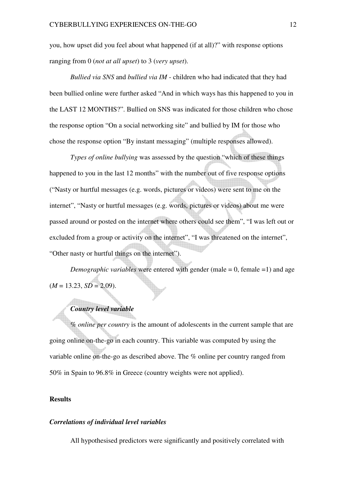you, how upset did you feel about what happened (if at all)?" with response options ranging from 0 (*not at all upset*) to 3 (*very upset*).

*Bullied via SNS* and *bullied via IM* - children who had indicated that they had been bullied online were further asked "And in which ways has this happened to you in the LAST 12 MONTHS?". Bullied on SNS was indicated for those children who chose the response option "On a social networking site" and bullied by IM for those who chose the response option "By instant messaging" (multiple responses allowed).

*Types of online bullying* was assessed by the question "which of these things happened to you in the last 12 months" with the number out of five response options ("Nasty or hurtful messages (e.g. words, pictures or videos) were sent to me on the internet", "Nasty or hurtful messages (e.g. words, pictures or videos) about me were passed around or posted on the internet where others could see them", "I was left out or excluded from a group or activity on the internet", "I was threatened on the internet", "Other nasty or hurtful things on the internet").

*Demographic variables* were entered with gender (male = 0, female = 1) and age  $(M = 13.23, SD = 2.09)$ .

## *Country level variable*

*% online per country* is the amount of adolescents in the current sample that are going online on-the-go in each country. This variable was computed by using the variable online on-the-go as described above. The % online per country ranged from 50% in Spain to 96.8% in Greece (country weights were not applied).

## **Results**

#### *Correlations of individual level variables*

All hypothesised predictors were significantly and positively correlated with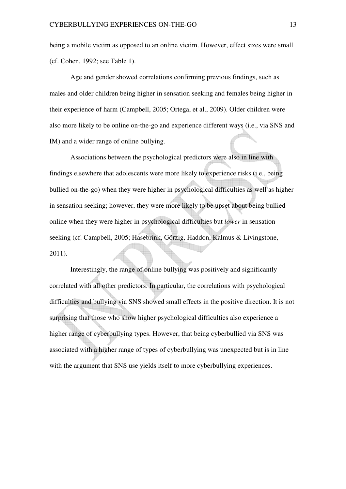being a mobile victim as opposed to an online victim. However, effect sizes were small (cf. Cohen, 1992; see Table 1).

Age and gender showed correlations confirming previous findings, such as males and older children being higher in sensation seeking and females being higher in their experience of harm (Campbell, 2005; Ortega, et al., 2009). Older children were also more likely to be online on-the-go and experience different ways (i.e., via SNS and IM) and a wider range of online bullying.

Associations between the psychological predictors were also in line with findings elsewhere that adolescents were more likely to experience risks (i.e., being bullied on-the-go) when they were higher in psychological difficulties as well as higher in sensation seeking; however, they were more likely to be upset about being bullied online when they were higher in psychological difficulties but *lower* in sensation seeking (cf. Campbell, 2005; Hasebrink, Görzig, Haddon, Kalmus & Livingstone, 2011).

Interestingly, the range of online bullying was positively and significantly correlated with all other predictors. In particular, the correlations with psychological difficulties and bullying via SNS showed small effects in the positive direction. It is not surprising that those who show higher psychological difficulties also experience a higher range of cyberbullying types. However, that being cyberbullied via SNS was associated with a higher range of types of cyberbullying was unexpected but is in line with the argument that SNS use yields itself to more cyberbullying experiences.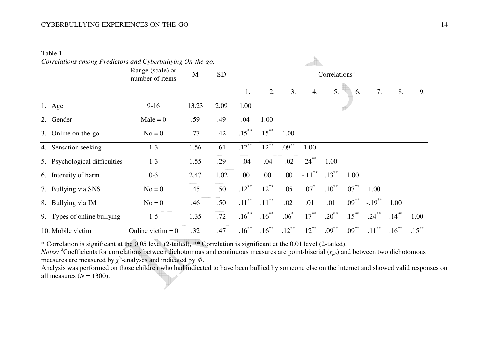## CYBERBULLYING EXPERIENCES ON-THE-GO 14

Table 1

| Correlations among Predictors and Cyberbullying On-the-go. |                                     |             |           |                           |          |          |           |          |          |           |          |          |
|------------------------------------------------------------|-------------------------------------|-------------|-----------|---------------------------|----------|----------|-----------|----------|----------|-----------|----------|----------|
|                                                            | Range (scale) or<br>number of items | $\mathbf M$ | <b>SD</b> | Correlations <sup>a</sup> |          |          |           |          |          |           |          |          |
|                                                            |                                     |             |           | 1.                        | 2.       | 3.       | 4.        | 5.       | 6.       | 7.        | 8.       | 9.       |
| 1. Age                                                     | $9-16$                              | 13.23       | 2.09      | 1.00                      |          |          |           |          |          |           |          |          |
| 2. Gender                                                  | $Male = 0$                          | .59         | .49       | .04                       | 1.00     |          |           |          |          |           |          |          |
| 3. Online on-the-go                                        | $No = 0$                            | .77         | .42       | $.15***$                  | $.15***$ | 1.00     |           |          |          |           |          |          |
| 4. Sensation seeking                                       | $1 - 3$                             | 1.56        | .61       | $.12***$                  | $.12***$ | $.09***$ | 1.00      |          |          |           |          |          |
| 5. Psychological difficulties                              | $1 - 3$                             | 1.55        | .29       | $-.04$                    | $-.04$   | $-.02$   | $.24***$  | 1.00     |          |           |          |          |
| 6. Intensity of harm                                       | $0 - 3$                             | 2.47        | 1.02      | .00                       | .00      | .00      | $-.11***$ | $.13***$ | 1.00     |           |          |          |
| 7. Bullying via SNS                                        | $No = 0$                            | .45         | .50       | $.12***$                  | $.12***$ | .05      | $.07*$    | $.10***$ | $.07***$ | 1.00      |          |          |
| 8. Bullying via IM                                         | $No = 0$                            | .46         | .50       | $.11***$                  | $.11***$ | .02      | .01       | .01      | $.09***$ | $-.19***$ | 1.00     |          |
| 9. Types of online bullying                                | $1 - 5$                             | 1.35        | .72       | $.16***$                  | $.16***$ | $.06*$   | $.17***$  | $.20***$ | $.15***$ | $.24***$  | $.14***$ | 1.00     |
| 10. Mobile victim                                          | Online victim $= 0$                 | .32         | .47       | $.16***$                  | $.16***$ | $.12***$ | $.12***$  | $.09***$ | $.09***$ | $.11***$  | $.16***$ | $.15***$ |

 $\mathfrak{h}_n$ 

\* Correlation is significant at the 0.05 level (2-tailed), \*\* Correlation is significant at the 0.01 level (2-tailed).

*Notes:*  ${}^a$ Coefficients for correlations between dichotomous and continuous measures are point-biserial ( $r_{pb}$ ) and between two dichotomous measures are measured by  $\chi^2$ -analyses and indicated by  $\Phi$ .

Analysis was performed on those children who had indicated to have been bullied by someone else on the internet and showed valid responses on all measures (*<sup>N</sup>* = 1300).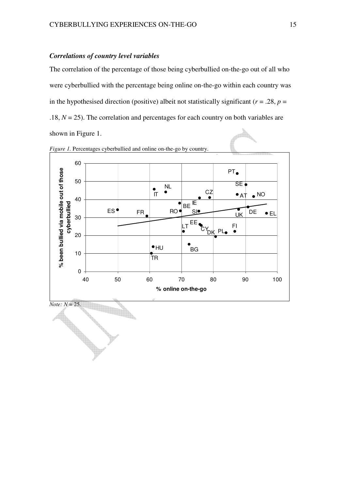## *Correlations of country level variables*

The correlation of the percentage of those being cyberbullied on-the-go out of all who were cyberbullied with the percentage being online on-the-go within each country was in the hypothesised direction (positive) albeit not statistically significant ( $r = .28$ ,  $p =$ .18,  $N = 25$ ). The correlation and percentages for each country on both variables are shown in Figure 1.



*Figure 1.* Percentages cyberbullied and online on-the-go by country.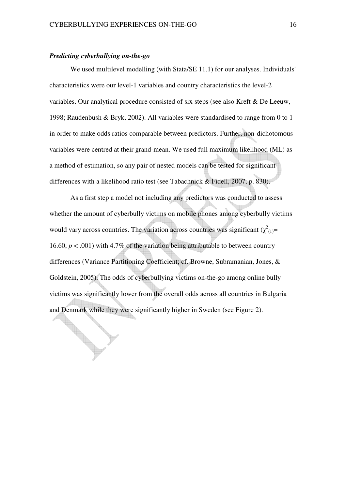## *Predicting cyberbullying on-the-go*

 $\blacklozenge$ 

We used multilevel modelling (with Stata/SE 11.1) for our analyses. Individuals' characteristics were our level-1 variables and country characteristics the level-2 variables. Our analytical procedure consisted of six steps (see also Kreft & De Leeuw, 1998; Raudenbush & Bryk, 2002). All variables were standardised to range from 0 to 1 in order to make odds ratios comparable between predictors. Further, non-dichotomous variables were centred at their grand-mean. We used full maximum likelihood (ML) as a method of estimation, so any pair of nested models can be tested for significant differences with a likelihood ratio test (see Tabachnick & Fidell, 2007, p. 830).

As a first step a model not including any predictors was conducted to assess whether the amount of cyberbully victims on mobile phones among cyberbully victims would vary across countries. The variation across countries was significant  $(\chi^2_{(1)}$ = 16.60,  $p < .001$ ) with 4.7% of the variation being attributable to between country differences (Variance Partitioning Coefficient; cf. Browne, Subramanian, Jones, & Goldstein, 2005). The odds of cyberbullying victims on-the-go among online bully victims was significantly lower from the overall odds across all countries in Bulgaria and Denmark while they were significantly higher in Sweden (see Figure 2).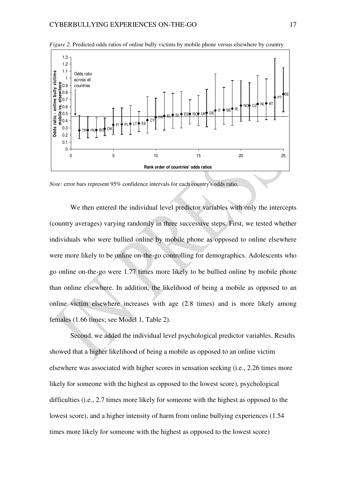

*Figure 2.* Predicted odds ratios of online bully victims by mobile phone versus elsewhere by country.

*Note:* error bars represent 95% confidence intervals for each country's odds ratio.

We then entered the individual level predictor variables with only the intercepts (country averages) varying randomly in three successive steps. First, we tested whether individuals who were bullied online by mobile phone as opposed to online elsewhere were more likely to be online on-the-go controlling for demographics. Adolescents who go online on-the-go were 1.77 times more likely to be bullied online by mobile phone than online elsewhere. In addition, the likelihood of being a mobile as opposed to an online victim elsewhere increases with age (2.8 times) and is more likely among females (1.66 times; see Model 1, Table 2).

Second, we added the individual level psychological predictor variables. Results showed that a higher likelihood of being a mobile as opposed to an online victim elsewhere was associated with higher scores in sensation seeking (i.e., 2.26 times more likely for someone with the highest as opposed to the lowest score), psychological difficulties (i.e., 2.7 times more likely for someone with the highest as opposed to the lowest score), and a higher intensity of harm from online bullying experiences (1.54 times more likely for someone with the highest as opposed to the lowest score)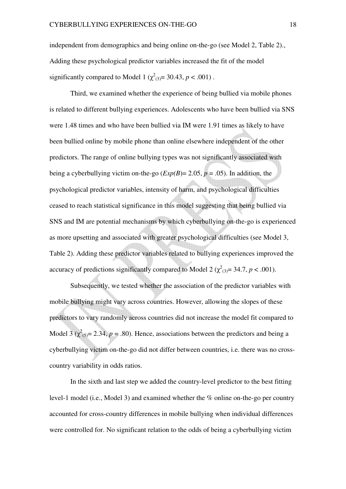independent from demographics and being online on-the-go (see Model 2, Table 2)., Adding these psychological predictor variables increased the fit of the model significantly compared to Model 1 ( $\chi^2_{(3)}$ = 30.43, *p* < .001).

Third, we examined whether the experience of being bullied via mobile phones is related to different bullying experiences. Adolescents who have been bullied via SNS were 1.48 times and who have been bullied via IM were 1.91 times as likely to have been bullied online by mobile phone than online elsewhere independent of the other predictors. The range of online bullying types was not significantly associated with being a cyberbullying victim on-the-go  $(\text{Exp}(B) = 2.05, p = .05)$ . In addition, the psychological predictor variables, intensity of harm, and psychological difficulties ceased to reach statistical significance in this model suggesting that being bullied via SNS and IM are potential mechanisms by which cyberbullying on-the-go is experienced as more upsetting and associated with greater psychological difficulties (see Model 3, Table 2). Adding these predictor variables related to bullying experiences improved the accuracy of predictions significantly compared to Model 2 ( $\chi^2_{(3)} = 34.7$ ,  $p < .001$ ).

Subsequently, we tested whether the association of the predictor variables with mobile bullying might vary across countries. However, allowing the slopes of these predictors to vary randomly across countries did not increase the model fit compared to Model  $3(\chi^2_{(5)} = 2.34, p = .80)$ . Hence, associations between the predictors and being a cyberbullying victim on-the-go did not differ between countries, i.e. there was no crosscountry variability in odds ratios.

In the sixth and last step we added the country-level predictor to the best fitting level-1 model (i.e., Model 3) and examined whether the % online on-the-go per country accounted for cross-country differences in mobile bullying when individual differences were controlled for. No significant relation to the odds of being a cyberbullying victim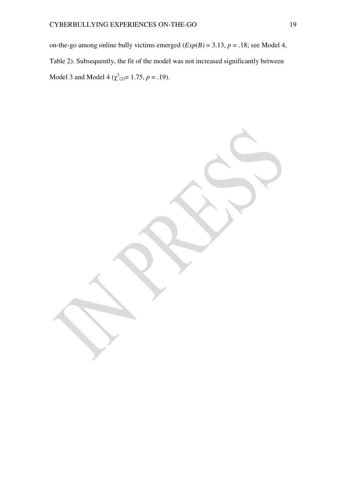on-the-go among online bully victims emerged  $(\text{Exp}(B) = 3.13, p = .18)$ ; see Model 4, Table 2). Subsequently, the fit of the model was not increased significantly between Model 3 and Model 4 ( $\chi^2_{(2)} = 1.75$ ,  $p = .19$ ).

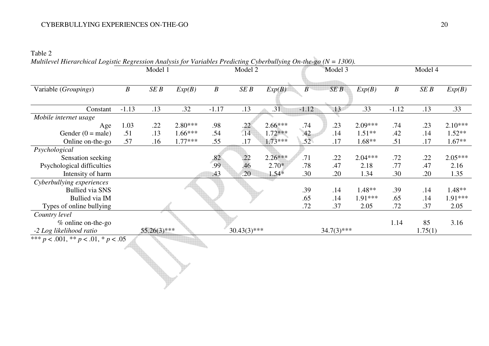## CYBERBULLYING EXPERIENCES ON-THE-GO 20

Table 2

|                                             | $\cdots$ $\cdots$ $\sim$ $\cdots$ | Model 1 |           |                  | Model 2        |           |                  | Model 3          |           | Model 4          |         |           |
|---------------------------------------------|-----------------------------------|---------|-----------|------------------|----------------|-----------|------------------|------------------|-----------|------------------|---------|-----------|
|                                             |                                   |         |           |                  |                |           |                  |                  |           |                  |         |           |
| Variable (Groupings)                        | $\boldsymbol{B}$                  | SEB     | Exp(B)    | $\boldsymbol{B}$ | SEB            | Exp(B)    | $\boldsymbol{B}$ | SEB              | Exp(B)    | $\boldsymbol{B}$ | SEB     | Exp(B)    |
|                                             |                                   |         |           |                  |                |           |                  |                  |           |                  |         |           |
| Constant                                    | $-1.13$                           | .13     | .32       | $-1.17$          | .13            | .31       | $-1.12$          | $\overline{.13}$ | .33       | $-1.12$          | .13     | .33       |
| Mobile internet usage                       |                                   |         |           |                  |                |           |                  |                  |           |                  |         |           |
| Age                                         | 1.03                              | .22     | $2.80***$ | .98              | .22            | $2.66***$ | .74              | .23              | 2.09***   | .74              | .23     | $2.10***$ |
| Gender $(0 = male)$                         | .51                               | .13     | $1.66***$ | .54              | .14            | $1.72***$ | .42              | .14              | $1.51**$  | .42              | .14     | $1.52**$  |
| Online on-the-go                            | .57                               | .16     | $1.77***$ | .55              | .17            | $1.73***$ | .52              | .17              | $1.68**$  | .51              | .17     | $1.67**$  |
| Psychological                               |                                   |         |           |                  |                |           |                  |                  |           |                  |         |           |
| Sensation seeking                           |                                   |         |           | .82              | .22            | $2.26***$ | .71              | .22              | $2.04***$ | .72              | .22     | $2.05***$ |
| Psychological difficulties                  |                                   |         |           | .99              | .46            | $2.70*$   | .78              | .47              | 2.18      | .77              | .47     | 2.16      |
| Intensity of harm                           |                                   |         |           | .43              | .20            | $1.54*$   | .30              | .20              | 1.34      | .30              | .20     | 1.35      |
| Cyberbullying experiences                   |                                   |         |           |                  |                |           |                  |                  |           |                  |         |           |
| <b>Bullied via SNS</b>                      |                                   |         |           |                  |                |           | .39              | .14              | $1.48**$  | .39              | .14     | $1.48**$  |
| <b>Bullied via IM</b>                       |                                   |         |           |                  |                |           | .65              | .14              | 1.91***   | .65              | .14     | 1.91***   |
| Types of online bullying                    |                                   |         |           |                  |                |           | .72              | .37              | 2.05      | .72              | .37     | 2.05      |
| Country level                               |                                   |         |           |                  |                |           |                  |                  |           |                  |         |           |
| % online on-the-go                          |                                   |         |           |                  |                |           |                  |                  |           | 1.14             | 85      | 3.16      |
| $55.26(3)$ ***<br>-2 Log likelihood ratio   |                                   |         |           |                  | $30.43(3)$ *** |           |                  | $34.7(3)$ ***    |           |                  | 1.75(1) |           |
| *** $p < .001$ , ** $p < .01$ , * $p < .05$ |                                   |         |           |                  |                |           |                  |                  |           |                  |         |           |
|                                             |                                   |         |           |                  |                |           |                  |                  |           |                  |         |           |
|                                             |                                   |         |           |                  |                |           |                  |                  |           |                  |         |           |
|                                             |                                   |         |           |                  |                |           |                  |                  |           |                  |         |           |
|                                             |                                   |         |           |                  |                |           |                  |                  |           |                  |         |           |
|                                             |                                   |         |           |                  |                |           |                  |                  |           |                  |         |           |

*Multilevel Hierarchical Logistic Regression Analysis for Variables Predicting Cyberbullying On-the-go (N = 1300).*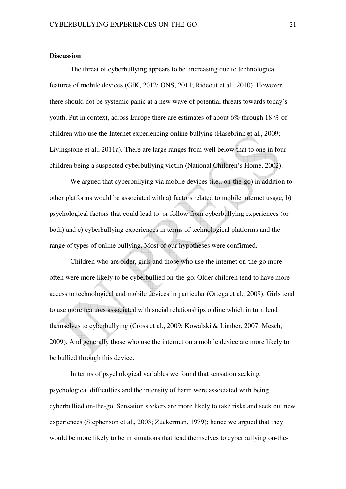## **Discussion**

The threat of cyberbullying appears to be increasing due to technological features of mobile devices (GfK, 2012; ONS, 2011; Rideout et al., 2010). However, there should not be systemic panic at a new wave of potential threats towards today's youth. Put in context, across Europe there are estimates of about 6% through 18 % of children who use the Internet experiencing online bullying (Hasebrink et al., 2009; Livingstone et al., 2011a). There are large ranges from well below that to one in four children being a suspected cyberbullying victim (National Children's Home, 2002).

We argued that cyberbullying via mobile devices (i.e., on-the-go) in addition to other platforms would be associated with a) factors related to mobile internet usage, b) psychological factors that could lead to or follow from cyberbullying experiences (or both) and c) cyberbullying experiences in terms of technological platforms and the range of types of online bullying. Most of our hypotheses were confirmed.

Children who are older, girls and those who use the internet on-the-go more often were more likely to be cyberbullied on-the-go. Older children tend to have more access to technological and mobile devices in particular (Ortega et al., 2009). Girls tend to use more features associated with social relationships online which in turn lend themselves to cyberbullying (Cross et al., 2009; Kowalski & Limber, 2007; Mesch, 2009). And generally those who use the internet on a mobile device are more likely to be bullied through this device.

In terms of psychological variables we found that sensation seeking, psychological difficulties and the intensity of harm were associated with being cyberbullied on-the-go. Sensation seekers are more likely to take risks and seek out new experiences (Stephenson et al., 2003; Zuckerman, 1979); hence we argued that they would be more likely to be in situations that lend themselves to cyberbullying on-the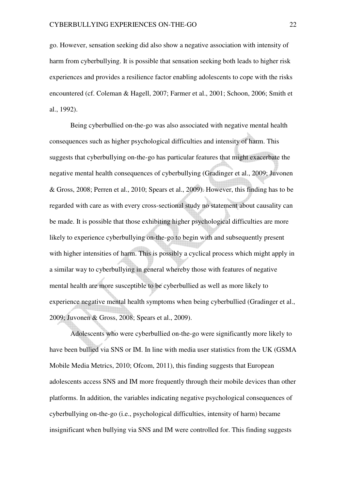go. However, sensation seeking did also show a negative association with intensity of harm from cyberbullying. It is possible that sensation seeking both leads to higher risk experiences and provides a resilience factor enabling adolescents to cope with the risks encountered (cf. Coleman & Hagell, 2007; Farmer et al., 2001; Schoon, 2006; Smith et al., 1992).

Being cyberbullied on-the-go was also associated with negative mental health consequences such as higher psychological difficulties and intensity of harm. This suggests that cyberbullying on-the-go has particular features that might exacerbate the negative mental health consequences of cyberbullying (Gradinger et al., 2009; Juvonen & Gross, 2008; Perren et al., 2010; Spears et al., 2009). However, this finding has to be regarded with care as with every cross-sectional study no statement about causality can be made. It is possible that those exhibiting higher psychological difficulties are more likely to experience cyberbullying on-the-go to begin with and subsequently present with higher intensities of harm. This is possibly a cyclical process which might apply in a similar way to cyberbullying in general whereby those with features of negative mental health are more susceptible to be cyberbullied as well as more likely to experience negative mental health symptoms when being cyberbullied (Gradinger et al., 2009; Juvonen & Gross, 2008; Spears et al., 2009).

Adolescents who were cyberbullied on-the-go were significantly more likely to have been bullied via SNS or IM. In line with media user statistics from the UK (GSMA Mobile Media Metrics, 2010; Ofcom, 2011), this finding suggests that European adolescents access SNS and IM more frequently through their mobile devices than other platforms. In addition, the variables indicating negative psychological consequences of cyberbullying on-the-go (i.e., psychological difficulties, intensity of harm) became insignificant when bullying via SNS and IM were controlled for. This finding suggests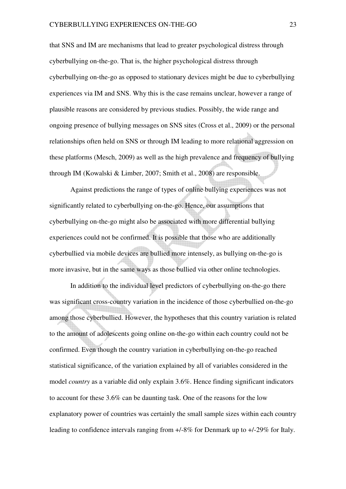that SNS and IM are mechanisms that lead to greater psychological distress through cyberbullying on-the-go. That is, the higher psychological distress through cyberbullying on-the-go as opposed to stationary devices might be due to cyberbullying experiences via IM and SNS. Why this is the case remains unclear, however a range of plausible reasons are considered by previous studies. Possibly, the wide range and ongoing presence of bullying messages on SNS sites (Cross et al., 2009) or the personal relationships often held on SNS or through IM leading to more relational aggression on these platforms (Mesch, 2009) as well as the high prevalence and frequency of bullying through IM (Kowalski & Limber, 2007; Smith et al., 2008) are responsible.

Against predictions the range of types of online bullying experiences was not significantly related to cyberbullying on-the-go. Hence, our assumptions that cyberbullying on-the-go might also be associated with more differential bullying experiences could not be confirmed. It is possible that those who are additionally cyberbullied via mobile devices are bullied more intensely, as bullying on-the-go is more invasive, but in the same ways as those bullied via other online technologies.

In addition to the individual level predictors of cyberbullying on-the-go there was significant cross-country variation in the incidence of those cyberbullied on-the-go among those cyberbullied. However, the hypotheses that this country variation is related to the amount of adolescents going online on-the-go within each country could not be confirmed. Even though the country variation in cyberbullying on-the-go reached statistical significance, of the variation explained by all of variables considered in the model *country* as a variable did only explain 3.6%. Hence finding significant indicators to account for these 3.6% can be daunting task. One of the reasons for the low explanatory power of countries was certainly the small sample sizes within each country leading to confidence intervals ranging from +/-8% for Denmark up to +/-29% for Italy.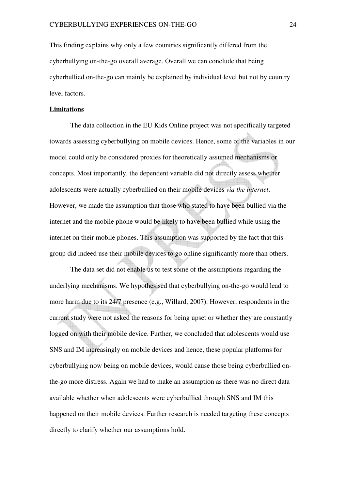This finding explains why only a few countries significantly differed from the cyberbullying on-the-go overall average. Overall we can conclude that being cyberbullied on-the-go can mainly be explained by individual level but not by country level factors.

#### **Limitations**

The data collection in the EU Kids Online project was not specifically targeted towards assessing cyberbullying on mobile devices. Hence, some of the variables in our model could only be considered proxies for theoretically assumed mechanisms or concepts. Most importantly, the dependent variable did not directly assess whether adolescents were actually cyberbullied on their mobile devices *via the internet*. However, we made the assumption that those who stated to have been bullied via the internet and the mobile phone would be likely to have been bullied while using the internet on their mobile phones. This assumption was supported by the fact that this group did indeed use their mobile devices to go online significantly more than others.

The data set did not enable us to test some of the assumptions regarding the underlying mechanisms. We hypothesised that cyberbullying on-the-go would lead to more harm due to its 24/7 presence (e.g., Willard, 2007). However, respondents in the current study were not asked the reasons for being upset or whether they are constantly logged on with their mobile device. Further, we concluded that adolescents would use SNS and IM increasingly on mobile devices and hence, these popular platforms for cyberbullying now being on mobile devices, would cause those being cyberbullied onthe-go more distress. Again we had to make an assumption as there was no direct data available whether when adolescents were cyberbullied through SNS and IM this happened on their mobile devices. Further research is needed targeting these concepts directly to clarify whether our assumptions hold.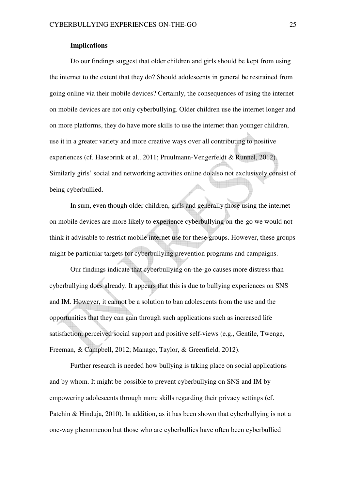## **Implications**

Do our findings suggest that older children and girls should be kept from using the internet to the extent that they do? Should adolescents in general be restrained from going online via their mobile devices? Certainly, the consequences of using the internet on mobile devices are not only cyberbullying. Older children use the internet longer and on more platforms, they do have more skills to use the internet than younger children, use it in a greater variety and more creative ways over all contributing to positive experiences (cf. Hasebrink et al., 2011; Pruulmann-Vengerfeldt & Runnel, 2012). Similarly girls' social and networking activities online do also not exclusively consist of being cyberbullied.

In sum, even though older children, girls and generally those using the internet on mobile devices are more likely to experience cyberbullying on-the-go we would not think it advisable to restrict mobile internet use for these groups. However, these groups might be particular targets for cyberbullying prevention programs and campaigns.

Our findings indicate that cyberbullying on-the-go causes more distress than cyberbullying does already. It appears that this is due to bullying experiences on SNS and IM. However, it cannot be a solution to ban adolescents from the use and the opportunities that they can gain through such applications such as increased life satisfaction, perceived social support and positive self-views (e.g., Gentile, Twenge, Freeman, & Campbell, 2012; Manago, Taylor, & Greenfield, 2012).

Further research is needed how bullying is taking place on social applications and by whom. It might be possible to prevent cyberbullying on SNS and IM by empowering adolescents through more skills regarding their privacy settings (cf. Patchin & Hinduja, 2010). In addition, as it has been shown that cyberbullying is not a one-way phenomenon but those who are cyberbullies have often been cyberbullied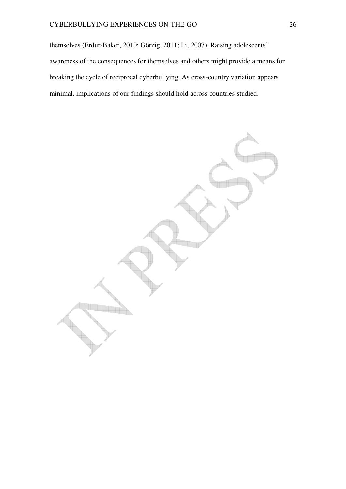themselves (Erdur-Baker, 2010; Görzig, 2011; Li, 2007). Raising adolescents' awareness of the consequences for themselves and others might provide a means for breaking the cycle of reciprocal cyberbullying. As cross-country variation appears minimal, implications of our findings should hold across countries studied.

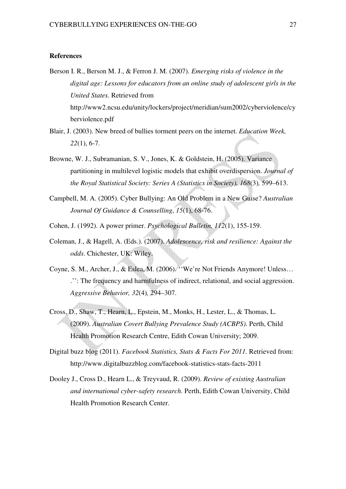#### **References**

- Berson I. R., Berson M. J., & Ferron J. M. (2007). *Emerging risks of violence in the digital age: Lessons for educators from an online study of adolescent girls in the United States.* Retrieved from http://www2.ncsu.edu/unity/lockers/project/meridian/sum2002/cyberviolence/cy berviolence.pdf
- Blair, J. (2003). New breed of bullies torment peers on the internet. *Education Week, 22*(1), 6-7.
- Browne, W. J., Subramanian, S. V., Jones, K. & Goldstein, H. (2005). Variance partitioning in multilevel logistic models that exhibit overdispersion. *Journal of the Royal Statistical Society: Series A (Statistics in Society), 168*(3)*,* 599–613.
- Campbell, M. A. (2005). Cyber Bullying: An Old Problem in a New Guise? *Australian Journal Of Guidance & Counselling*, *15*(1), 68-76.
- Cohen, J. (1992). A power primer. *Psychological Bulletin, 112*(1), 155-159.
- Coleman, J., & Hagell, A. (Eds.). (2007). *Adolescence, risk and resilience: Against the odds*. Chichester, UK: Wiley.
- Coyne, S. M., Archer, J., & Eslea, M. (2006). ''We're Not Friends Anymore! Unless… .'': The frequency and harmfulness of indirect, relational, and social aggression. *Aggressive Behavior, 32*(4)*,* 294–307.
- Cross, D., Shaw, T., Hearn, L., Epstein, M., Monks, H., Lester, L., & Thomas, L. (2009). *Australian Covert Bullying Prevalence Study (ACBPS)*. Perth, Child Health Promotion Research Centre, Edith Cowan University; 2009.
- Digital buzz blog (2011). *Facebook Statistics, Stats & Facts For 2011.* Retrieved from: http://www.digitalbuzzblog.com/facebook-statistics-stats-facts-2011
- Dooley J., Cross D., Hearn L., & Treyvaud, R. (2009). *Review of existing Australian and international cyber-safety research.* Perth, Edith Cowan University, Child Health Promotion Research Center.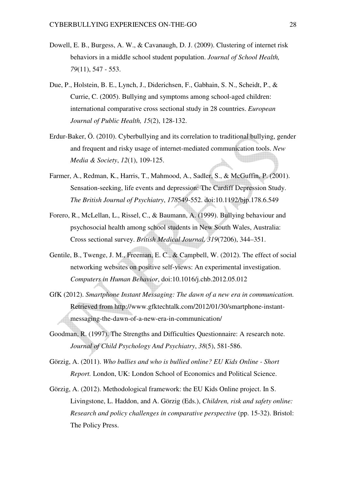- Dowell, E. B., Burgess, A. W., & Cavanaugh, D. J. (2009). Clustering of internet risk behaviors in a middle school student population. *Journal of School Health, 79*(11), 547 - 553.
- Due, P., Holstein, B. E., Lynch, J., Diderichsen, F., Gabhain, S. N., Scheidt, P., & Currie, C. (2005). Bullying and symptoms among school-aged children: international comparative cross sectional study in 28 countries. *European Journal of Public Health, 15*(2), 128-132.
- Erdur-Baker, Ö. (2010). Cyberbullying and its correlation to traditional bullying, gender and frequent and risky usage of internet-mediated communication tools. *New Media & Society*, *12*(1), 109-125.
- Farmer, A., Redman, K., Harris, T., Mahmood, A., Sadler, S., & McGuffin, P. (2001). Sensation-seeking, life events and depression: The Cardiff Depression Study. *The British Journal of Psychiatry*, *178*549-552. doi:10.1192/bjp.178.6.549
- Forero, R., McLellan, L., Rissel, C., & Baumann, A. (1999). Bullying behaviour and psychosocial health among school students in New South Wales, Australia: Cross sectional survey. *British Medical Journal, 319*(7206), 344–351.
- Gentile, B., Twenge, J. M., Freeman, E. C., & Campbell, W. (2012). The effect of social networking websites on positive self-views: An experimental investigation. *Computers in Human Behavior*, doi:10.1016/j.chb.2012.05.012
- GfK (2012). *Smartphone Instant Messaging: The dawn of a new era in communication.* Retrieved from http://www.gfktechtalk.com/2012/01/30/smartphone-instantmessaging-the-dawn-of-a-new-era-in-communication/
- Goodman, R. (1997). The Strengths and Difficulties Questionnaire: A research note. *Journal of Child Psychology And Psychiatry*, *38*(5), 581-586.
- Görzig, A. (2011). *Who bullies and who is bullied online? EU Kids Online Short Report.* London, UK: London School of Economics and Political Science.
- Görzig, A. (2012). Methodological framework: the EU Kids Online project. In S. Livingstone, L. Haddon, and A. Görzig (Eds.), *Children, risk and safety online: Research and policy challenges in comparative perspective (pp. 15-32). Bristol:* The Policy Press.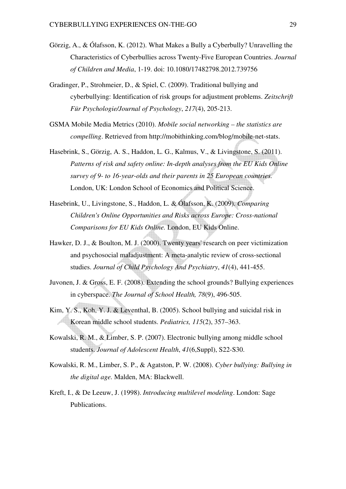- Görzig, A., & Ólafsson, K. (2012). What Makes a Bully a Cyberbully? Unravelling the Characteristics of Cyberbullies across Twenty-Five European Countries. *Journal of Children and Media*, 1-19. doi: 10.1080/17482798.2012.739756
- Gradinger, P., Strohmeier, D., & Spiel, C. (2009). Traditional bullying and cyberbullying: Identification of risk groups for adjustment problems. *Zeitschrift Für Psychologie/Journal of Psychology*, *217*(4), 205-213.
- GSMA Mobile Media Metrics (2010). *Mobile social networking the statistics are compelling*. Retrieved from http://mobithinking.com/blog/mobile-net-stats.
- Hasebrink, S., Görzig, A. S., Haddon, L. G., Kalmus, V., & Livingstone, S. (2011). *Patterns of risk and safety online: In-depth analyses from the EU Kids Online survey of 9- to 16-year-olds and their parents in 25 European countries.*  London, UK: London School of Economics and Political Science.
- Hasebrink, U., Livingstone, S., Haddon, L. & Ólafsson, K. (2009). *Comparing Children's Online Opportunities and Risks across Europe: Cross-national Comparisons for EU Kids Online.* London, EU Kids Online.
- Hawker, D. J., & Boulton, M. J. (2000). Twenty years' research on peer victimization and psychosocial maladjustment: A meta-analytic review of cross-sectional studies. *Journal of Child Psychology And Psychiatry*, *41*(4), 441-455.
- Juvonen, J. & Gross, E. F. (2008). Extending the school grounds? Bullying experiences in cyberspace. *The Journal of School Health, 78*(9), 496-505.
- Kim, Y. S., Koh, Y. J. & Leventhal, B. (2005). School bullying and suicidal risk in Korean middle school students. *Pediatrics, 115*(2), 357–363.
- Kowalski, R. M., & Limber, S. P. (2007). Electronic bullying among middle school students. *Journal of Adolescent Health*, *41*(6,Suppl), S22-S30.
- Kowalski, R. M., Limber, S. P., & Agatston, P. W. (2008). *Cyber bullying: Bullying in the digital age.* Malden, MA: Blackwell.
- Kreft, I., & De Leeuw, J. (1998). *Introducing multilevel modeling*. London: Sage Publications.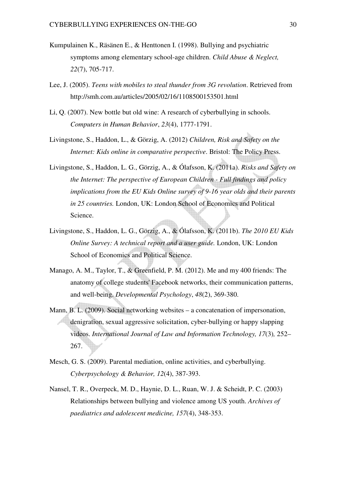- Kumpulainen K., Räsänen E., & Henttonen I. (1998). Bullying and psychiatric symptoms among elementary school-age children. *Child Abuse & Neglect, 22*(7), 705-717.
- Lee, J. (2005). *Teens with mobiles to steal thunder from 3G revolution*. Retrieved from http://smh.com.au/articles/2005/02/16/1108500153501.html
- Li, Q. (2007). New bottle but old wine: A research of cyberbullying in schools. *Computers in Human Behavior*, *23*(4), 1777-1791.
- Livingstone, S., Haddon, L., & Görzig, A. (2012) *Children, Risk and Safety on the Internet: Kids online in comparative perspective*. Bristol: The Policy Press.
- Livingstone, S., Haddon, L. G., Görzig, A., & Ólafsson, K. (2011a). *Risks and Safety on the Internet: The perspective of European Children - Full findings and policy implications from the EU Kids Online survey of 9-16 year olds and their parents in 25 countries.* London, UK: London School of Economics and Political Science.
- Livingstone, S., Haddon, L. G., Görzig, A., & Ólafsson, K. (2011b). *The 2010 EU Kids Online Survey: A technical report and a user guide.* London, UK: London School of Economics and Political Science.
- Manago, A. M., Taylor, T., & Greenfield, P. M. (2012). Me and my 400 friends: The anatomy of college students' Facebook networks, their communication patterns, and well-being. *Developmental Psychology*, *48*(2), 369-380.
- Mann, B. L. (2009). Social networking websites a concatenation of impersonation, denigration, sexual aggressive solicitation, cyber-bullying or happy slapping videos. *International Journal of Law and Information Technology, 17*(3)*,* 252– 267.
- Mesch, G. S. (2009). Parental mediation, online activities, and cyberbullying. *Cyberpsychology & Behavior, 12*(4), 387-393.
- Nansel, T. R., Overpeck, M. D., Haynie, D. L., Ruan, W. J. & Scheidt, P. C. (2003) Relationships between bullying and violence among US youth. *Archives of paediatrics and adolescent medicine, 157*(4), 348-353.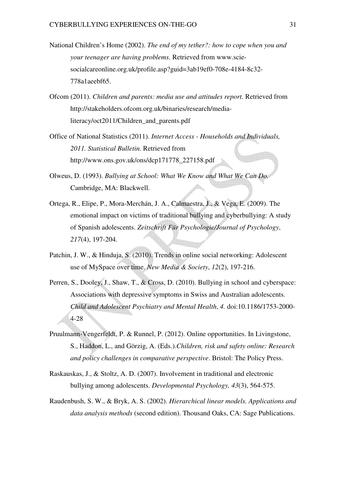- National Children's Home (2002). *The end of my tether?: how to cope when you and your teenager are having problems*. Retrieved from www.sciesocialcareonline.org.uk/profile.asp?guid=3ab19ef0-708e-4184-8c32- 778a1aeebf65.
- Ofcom (2011). *Children and parents: media use and attitudes report.* Retrieved from http://stakeholders.ofcom.org.uk/binaries/research/medialiteracy/oct2011/Children\_and\_parents.pdf
- Office of National Statistics (2011). *Internet Access Households and Individuals, 2011. Statistical Bulletin.* Retrieved from http://www.ons.gov.uk/ons/dcp171778\_227158.pdf
- Olweus, D. (1993). *Bullying at School: What We Know and What We Can Do.* Cambridge, MA: Blackwell.
- Ortega, R., Elipe, P., Mora-Merchán, J. A., Calmaestra, J., & Vega, E. (2009). The emotional impact on victims of traditional bullying and cyberbullying: A study of Spanish adolescents. *Zeitschrift Für Psychologie/Journal of Psychology*, *217*(4), 197-204.
- Patchin, J. W., & Hinduja, S. (2010). Trends in online social networking: Adolescent use of MySpace over time. *New Media & Society*, *12*(2), 197-216.
- Perren, S., Dooley, J., Shaw, T., & Cross, D. (2010). Bullying in school and cyberspace: Associations with depressive symptoms in Swiss and Australian adolescents. *Child and Adolescent Psychiatry and Mental Health*, *4.* doi:10.1186/1753-2000- 4-28
- Pruulmann-Vengerfeldt, P. & Runnel, P. (2012). Online opportunities. In Livingstone, S., Haddon, L., and Görzig, A. (Eds.).*Children, risk and safety online: Research and policy challenges in comparative perspective*. Bristol: The Policy Press.
- Raskauskas, J., & Stoltz, A. D. (2007). Involvement in traditional and electronic bullying among adolescents. *Developmental Psychology, 43*(3), 564-575.
- Raudenbush, S. W., & Bryk, A. S. (2002). *Hierarchical linear models. Applications and data analysis methods* (second edition). Thousand Oaks, CA: Sage Publications.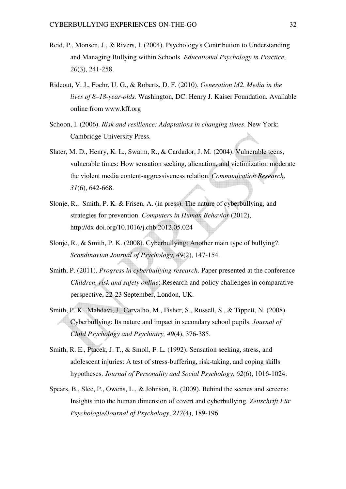- Reid, P., Monsen, J., & Rivers, I. (2004). Psychology's Contribution to Understanding and Managing Bullying within Schools. *Educational Psychology in Practice*, *20*(3), 241-258.
- Rideout, V. J., Foehr, U. G., & Roberts, D. F. (2010). *Generation M2. Media in the lives of 8–18-year-olds.* Washington, DC: Henry J. Kaiser Foundation. Available online from www.kff.org
- Schoon, I. (2006). *Risk and resilience: Adaptations in changing times*. New York: Cambridge University Press.
- Slater, M. D., Henry, K. L., Swaim, R., & Cardador, J. M. (2004). Vulnerable teens, vulnerable times: How sensation seeking, alienation, and victimization moderate the violent media content-aggressiveness relation. *Communication Research, 31*(6), 642-668.
- Slonje, R., Smith, P. K. & Frisen, A. (in press). The nature of cyberbullying, and strategies for prevention. *Computers in Human Behavior* (2012), http://dx.doi.org/10.1016/j.chb.2012.05.024
- Slonje, R., & Smith, P. K. (2008). Cyberbullying: Another main type of bullying?. *Scandinavian Journal of Psychology, 49*(2), 147-154.
- Smith, P. (2011). *Progress in cyberbullying research*. Paper presented at the conference *Children, risk and safety online*: Research and policy challenges in comparative perspective, 22-23 September, London, UK.
- Smith, P. K., Mahdavi, J., Carvalho, M., Fisher, S., Russell, S., & Tippett, N. (2008). Cyberbullying: Its nature and impact in secondary school pupils. *Journal of Child Psychology and Psychiatry, 49*(4), 376-385.
- Smith, R. E., Ptacek, J. T., & Smoll, F. L. (1992). Sensation seeking, stress, and adolescent injuries: A test of stress-buffering, risk-taking, and coping skills hypotheses. *Journal of Personality and Social Psychology*, *62*(6), 1016-1024.
- Spears, B., Slee, P., Owens, L., & Johnson, B. (2009). Behind the scenes and screens: Insights into the human dimension of covert and cyberbullying. *Zeitschrift Für Psychologie/Journal of Psychology*, *217*(4), 189-196.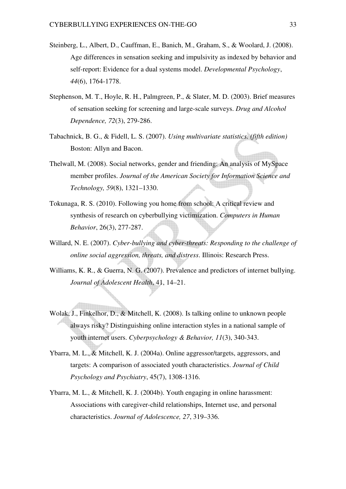- Steinberg, L., Albert, D., Cauffman, E., Banich, M., Graham, S., & Woolard, J. (2008). Age differences in sensation seeking and impulsivity as indexed by behavior and self-report: Evidence for a dual systems model. *Developmental Psychology*, *44*(6), 1764-1778.
- Stephenson, M. T., Hoyle, R. H., Palmgreen, P., & Slater, M. D. (2003). Brief measures of sensation seeking for screening and large-scale surveys. *Drug and Alcohol Dependence, 72*(3), 279-286.
- Tabachnick, B. G., & Fidell, L. S. (2007). *Using multivariate statistics. (fifth edition)* Boston: Allyn and Bacon.
- Thelwall, M. (2008). Social networks, gender and friending: An analysis of MySpace member profiles. *Journal of the American Society for Information Science and Technology, 59*(8), 1321–1330.
- Tokunaga, R. S. (2010). Following you home from school: A critical review and synthesis of research on cyberbullying victimization. *Computers in Human Behavior*, 26(3), 277-287.
- Willard, N. E. (2007). *Cyber-bullying and cyber-threats: Responding to the challenge of online social aggression, threats, and distress*. Illinois: Research Press.
- Williams, K. R., & Guerra, N. G. (2007). Prevalence and predictors of internet bullying. *Journal of Adolescent Health*, 41, 14–21.
- Wolak, J., Finkelhor, D., & Mitchell, K. (2008). Is talking online to unknown people always risky? Distinguishing online interaction styles in a national sample of youth internet users. *Cyberpsychology & Behavior, 11*(3), 340-343.
- Ybarra, M. L., & Mitchell, K. J. (2004a). Online aggressor/targets, aggressors, and targets: A comparison of associated youth characteristics. *Journal of Child Psychology and Psychiatry*, 45(7), 1308-1316.
- Ybarra, M. L., & Mitchell, K. J. (2004b). Youth engaging in online harassment: Associations with caregiver-child relationships, Internet use, and personal characteristics. *Journal of Adolescence, 27*, 319–336.